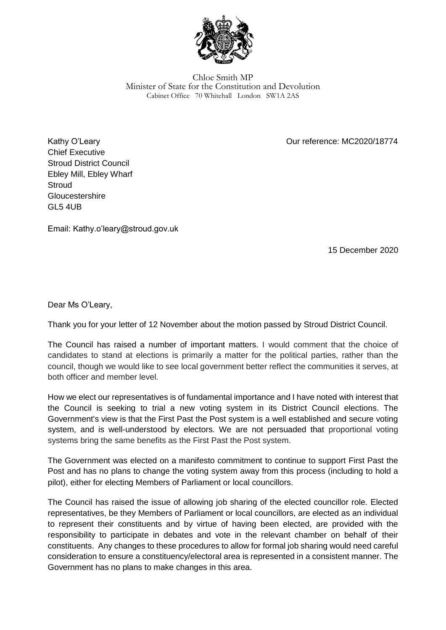

Chloe Smith MP Minister of State for the Constitution and Devolution Cabinet Office 70 Whitehall London SW1A 2AS

Our reference: MC2020/18774

Kathy O'Leary Chief Executive Stroud District Council Ebley Mill, Ebley Wharf **Stroud** Gloucestershire GL5 4UB

Email: Kathy.o'leary@stroud.gov.uk

15 December 2020

Dear Ms O'Leary,

Thank you for your letter of 12 November about the motion passed by Stroud District Council.

The Council has raised a number of important matters. I would comment that the choice of candidates to stand at elections is primarily a matter for the political parties, rather than the council, though we would like to see local government better reflect the communities it serves, at both officer and member level.

How we elect our representatives is of fundamental importance and I have noted with interest that the Council is seeking to trial a new voting system in its District Council elections. The Government's view is that the First Past the Post system is a well established and secure voting system, and is well-understood by electors. We are not persuaded that proportional voting systems bring the same benefits as the First Past the Post system.

The Government was elected on a manifesto commitment to continue to support First Past the Post and has no plans to change the voting system away from this process (including to hold a pilot), either for electing Members of Parliament or local councillors.

The Council has raised the issue of allowing job sharing of the elected councillor role. Elected representatives, be they Members of Parliament or local councillors, are elected as an individual to represent their constituents and by virtue of having been elected, are provided with the responsibility to participate in debates and vote in the relevant chamber on behalf of their constituents. Any changes to these procedures to allow for formal job sharing would need careful consideration to ensure a constituency/electoral area is represented in a consistent manner. The Government has no plans to make changes in this area.